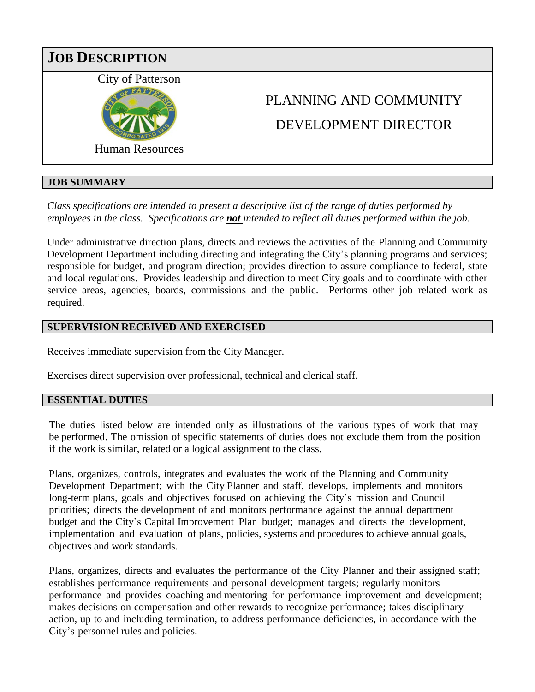

# **JOB SUMMARY**

*Class specifications are intended to present a descriptive list of the range of duties performed by employees in the class. Specifications are not intended to reflect all duties performed within the job.*

Under administrative direction plans, directs and reviews the activities of the Planning and Community Development Department including directing and integrating the City's planning programs and services; responsible for budget, and program direction; provides direction to assure compliance to federal, state and local regulations. Provides leadership and direction to meet City goals and to coordinate with other service areas, agencies, boards, commissions and the public. Performs other job related work as required.

# **SUPERVISION RECEIVED AND EXERCISED**

Receives immediate supervision from the City Manager.

Exercises direct supervision over professional, technical and clerical staff.

### **ESSENTIAL DUTIES**

The duties listed below are intended only as illustrations of the various types of work that may be performed. The omission of specific statements of duties does not exclude them from the position if the work is similar, related or a logical assignment to the class.

Plans, organizes, controls, integrates and evaluates the work of the Planning and Community Development Department; with the City Planner and staff, develops, implements and monitors long-term plans, goals and objectives focused on achieving the City's mission and Council priorities; directs the development of and monitors performance against the annual department budget and the City's Capital Improvement Plan budget; manages and directs the development, implementation and evaluation of plans, policies, systems and procedures to achieve annual goals, objectives and work standards.

Plans, organizes, directs and evaluates the performance of the City Planner and their assigned staff; establishes performance requirements and personal development targets; regularly monitors performance and provides coaching and mentoring for performance improvement and development; makes decisions on compensation and other rewards to recognize performance; takes disciplinary action, up to and including termination, to address performance deficiencies, in accordance with the City's personnel rules and policies.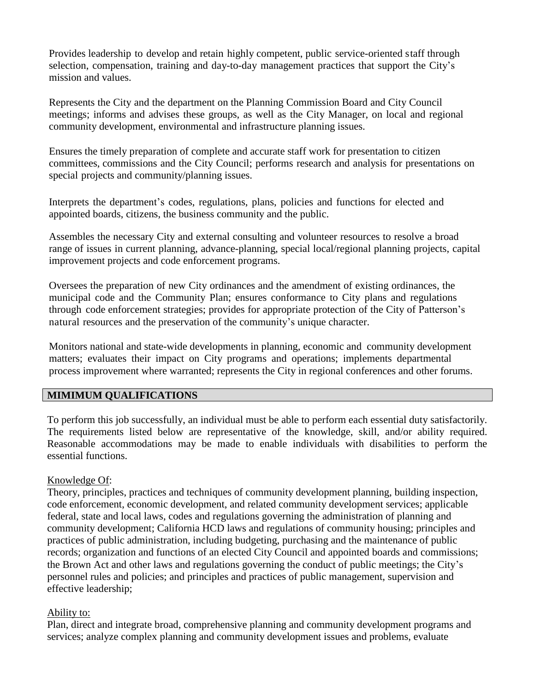Provides leadership to develop and retain highly competent, public service-oriented staff through selection, compensation, training and day-to-day management practices that support the City's mission and values.

Represents the City and the department on the Planning Commission Board and City Council meetings; informs and advises these groups, as well as the City Manager, on local and regional community development, environmental and infrastructure planning issues.

Ensures the timely preparation of complete and accurate staff work for presentation to citizen committees, commissions and the City Council; performs research and analysis for presentations on special projects and community/planning issues.

Interprets the department's codes, regulations, plans, policies and functions for elected and appointed boards, citizens, the business community and the public.

Assembles the necessary City and external consulting and volunteer resources to resolve a broad range of issues in current planning, advance-planning, special local/regional planning projects, capital improvement projects and code enforcement programs.

Oversees the preparation of new City ordinances and the amendment of existing ordinances, the municipal code and the Community Plan; ensures conformance to City plans and regulations through code enforcement strategies; provides for appropriate protection of the City of Patterson's natural resources and the preservation of the community's unique character.

Monitors national and state-wide developments in planning, economic and community development matters; evaluates their impact on City programs and operations; implements departmental process improvement where warranted; represents the City in regional conferences and other forums.

### **MIMIMUM QUALIFICATIONS**

To perform this job successfully, an individual must be able to perform each essential duty satisfactorily. The requirements listed below are representative of the knowledge, skill, and/or ability required. Reasonable accommodations may be made to enable individuals with disabilities to perform the essential functions.

### Knowledge Of:

Theory, principles, practices and techniques of community development planning, building inspection, code enforcement, economic development, and related community development services; applicable federal, state and local laws, codes and regulations governing the administration of planning and community development; California HCD laws and regulations of community housing; principles and practices of public administration, including budgeting, purchasing and the maintenance of public records; organization and functions of an elected City Council and appointed boards and commissions; the Brown Act and other laws and regulations governing the conduct of public meetings; the City's personnel rules and policies; and principles and practices of public management, supervision and effective leadership;

## Ability to:

Plan, direct and integrate broad, comprehensive planning and community development programs and services; analyze complex planning and community development issues and problems, evaluate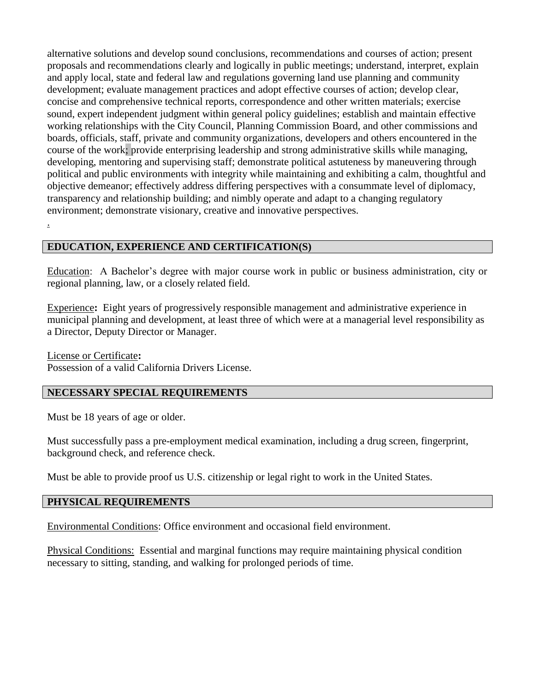alternative solutions and develop sound conclusions, recommendations and courses of action; present proposals and recommendations clearly and logically in public meetings; understand, interpret, explain and apply local, state and federal law and regulations governing land use planning and community development; evaluate management practices and adopt effective courses of action; develop clear, concise and comprehensive technical reports, correspondence and other written materials; exercise sound, expert independent judgment within general policy guidelines; establish and maintain effective working relationships with the City Council, Planning Commission Board, and other commissions and boards, officials, staff, private and community organizations, developers and others encountered in the course of the work; provide enterprising leadership and strong administrative skills while managing, developing, mentoring and supervising staff; demonstrate political astuteness by maneuvering through political and public environments with integrity while maintaining and exhibiting a calm, thoughtful and objective demeanor; effectively address differing perspectives with a consummate level of diplomacy, transparency and relationship building; and nimbly operate and adapt to a changing regulatory environment; demonstrate visionary, creative and innovative perspectives.

## **EDUCATION, EXPERIENCE AND CERTIFICATION(S)**

Education: A Bachelor's degree with major course work in public or business administration, city or regional planning, law, or a closely related field.

Experience**:** Eight years of progressively responsible management and administrative experience in municipal planning and development, at least three of which were at a managerial level responsibility as a Director, Deputy Director or Manager.

License or Certificate**:** Possession of a valid California Drivers License.

## **NECESSARY SPECIAL REQUIREMENTS**

Must be 18 years of age or older.

.

Must successfully pass a pre-employment medical examination, including a drug screen, fingerprint, background check, and reference check.

Must be able to provide proof us U.S. citizenship or legal right to work in the United States.

### **PHYSICAL REQUIREMENTS**

Environmental Conditions: Office environment and occasional field environment.

Physical Conditions: Essential and marginal functions may require maintaining physical condition necessary to sitting, standing, and walking for prolonged periods of time.